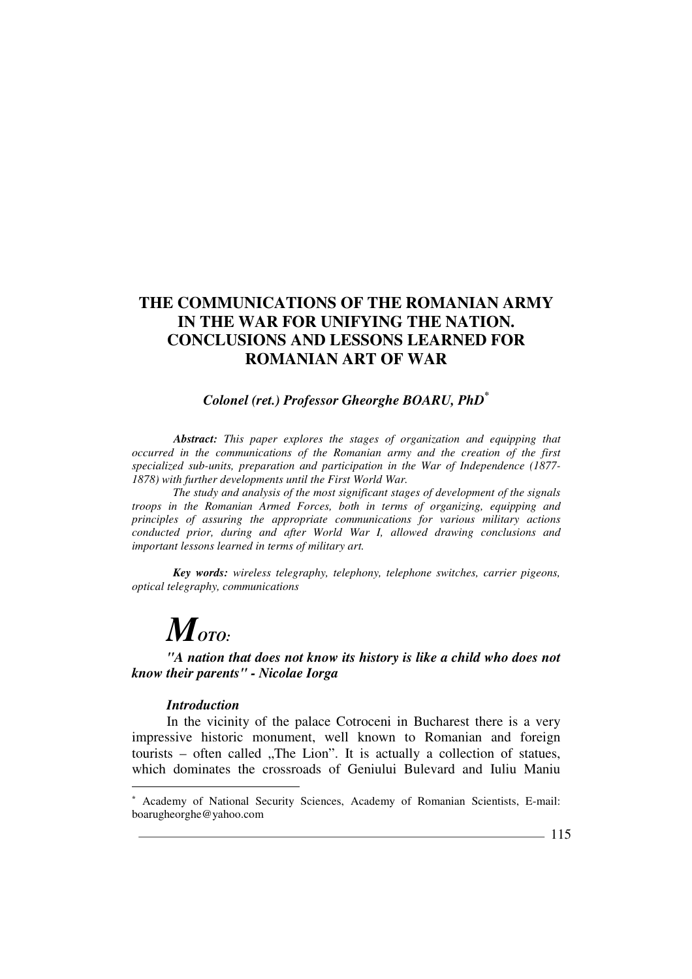## *Colonel (ret.) Professor Gheorghe BOARU, PhD\**

*Abstract: This paper explores the stages of organization and equipping that occurred in the communications of the Romanian army and the creation of the first specialized sub-units, preparation and participation in the War of Independence (1877- 1878) with further developments until the First World War.*

*The study and analysis of the most significant stages of development of the signals troops in the Romanian Armed Forces, both in terms of organizing, equipping and principles of assuring the appropriate communications for various military actions conducted prior, during and after World War I, allowed drawing conclusions and important lessons learned in terms of military art.*

*Key words: wireless telegraphy, telephony, telephone switches, carrier pigeons, optical telegraphy, communications* 

# *MOTO:*

*"A nation that does not know its history is like a child who does not know their parents" - Nicolae Iorga*

#### *Introduction*

 $\overline{a}$ 

In the vicinity of the palace Cotroceni in Bucharest there is a very impressive historic monument, well known to Romanian and foreign  $t_{\text{ourists}}$  – often called "The Lion". It is actually a collection of statues, which dominates the crossroads of Geniului Bulevard and Iuliu Maniu

<sup>\*</sup> Academy of National Security Sciences, Academy of Romanian Scientists, E-mail: boarugheorghe@yahoo.com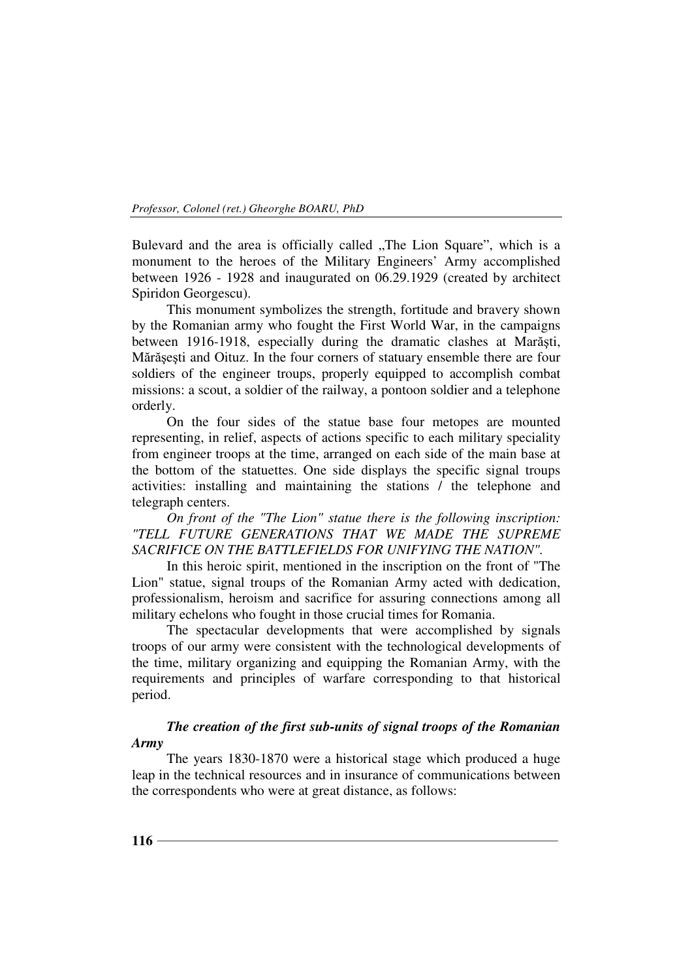Bulevard and the area is officially called "The Lion Square", which is a monument to the heroes of the Military Engineers' Army accomplished between 1926 - 1928 and inaugurated on 06.29.1929 (created by architect Spiridon Georgescu).

This monument symbolizes the strength, fortitude and bravery shown by the Romanian army who fought the First World War, in the campaigns between 1916-1918, especially during the dramatic clashes at Marăşti, Mărăşeşti and Oituz. In the four corners of statuary ensemble there are four soldiers of the engineer troups, properly equipped to accomplish combat missions: a scout, a soldier of the railway, a pontoon soldier and a telephone orderly.

On the four sides of the statue base four metopes are mounted representing, in relief, aspects of actions specific to each military speciality from engineer troops at the time, arranged on each side of the main base at the bottom of the statuettes. One side displays the specific signal troups activities: installing and maintaining the stations / the telephone and telegraph centers.

*On front of the "The Lion" statue there is the following inscription: "TELL FUTURE GENERATIONS THAT WE MADE THE SUPREME SACRIFICE ON THE BATTLEFIELDS FOR UNIFYING THE NATION".*

In this heroic spirit, mentioned in the inscription on the front of "The Lion" statue, signal troups of the Romanian Army acted with dedication, professionalism, heroism and sacrifice for assuring connections among all military echelons who fought in those crucial times for Romania.

The spectacular developments that were accomplished by signals troops of our army were consistent with the technological developments of the time, military organizing and equipping the Romanian Army, with the requirements and principles of warfare corresponding to that historical period.

## *The creation of the first sub-units of signal troops of the Romanian Army*

The years 1830-1870 were a historical stage which produced a huge leap in the technical resources and in insurance of communications between the correspondents who were at great distance, as follows: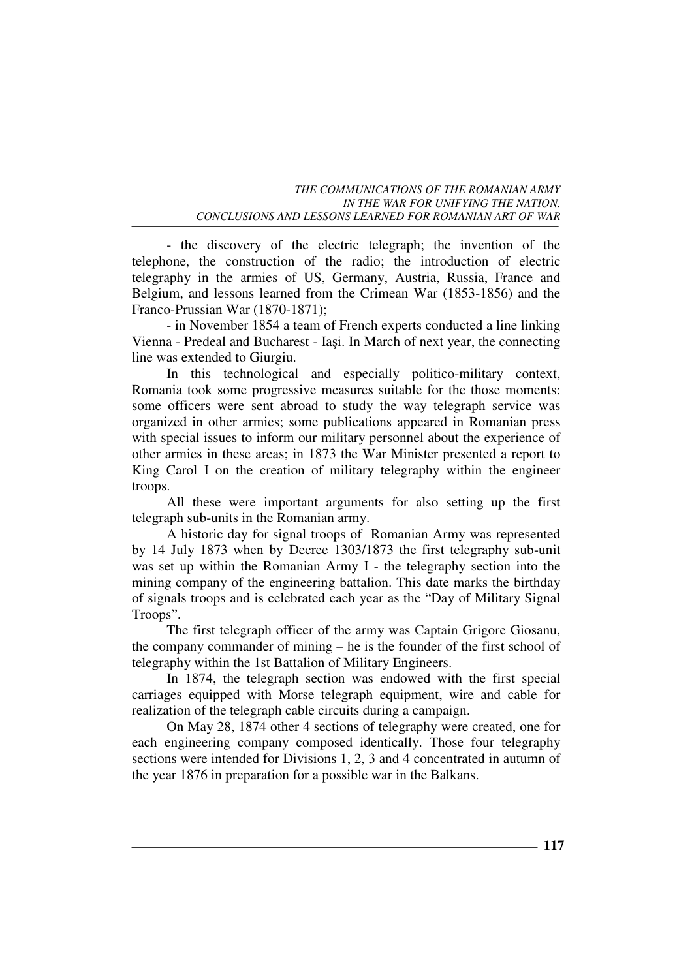- the discovery of the electric telegraph; the invention of the telephone, the construction of the radio; the introduction of electric telegraphy in the armies of US, Germany, Austria, Russia, France and Belgium, and lessons learned from the Crimean War (1853-1856) and the Franco-Prussian War (1870-1871);

- in November 1854 a team of French experts conducted a line linking Vienna - Predeal and Bucharest - Iaşi. In March of next year, the connecting line was extended to Giurgiu.

In this technological and especially politico-military context, Romania took some progressive measures suitable for the those moments: some officers were sent abroad to study the way telegraph service was organized in other armies; some publications appeared in Romanian press with special issues to inform our military personnel about the experience of other armies in these areas; in 1873 the War Minister presented a report to King Carol I on the creation of military telegraphy within the engineer troops.

All these were important arguments for also setting up the first telegraph sub-units in the Romanian army.

A historic day for signal troops of Romanian Army was represented by 14 July 1873 when by Decree 1303/1873 the first telegraphy sub-unit was set up within the Romanian Army I - the telegraphy section into the mining company of the engineering battalion. This date marks the birthday of signals troops and is celebrated each year as the "Day of Military Signal Troops".

The first telegraph officer of the army was Captain Grigore Giosanu, the company commander of mining – he is the founder of the first school of telegraphy within the 1st Battalion of Military Engineers.

In 1874, the telegraph section was endowed with the first special carriages equipped with Morse telegraph equipment, wire and cable for realization of the telegraph cable circuits during a campaign.

On May 28, 1874 other 4 sections of telegraphy were created, one for each engineering company composed identically. Those four telegraphy sections were intended for Divisions 1, 2, 3 and 4 concentrated in autumn of the year 1876 in preparation for a possible war in the Balkans.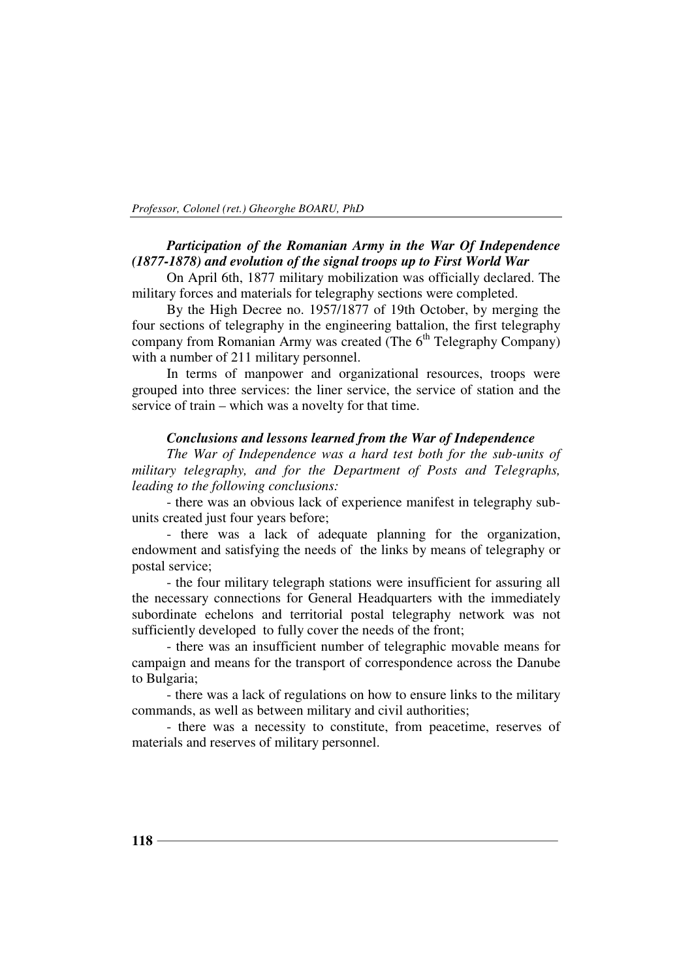## *Participation of the Romanian Army in the War Of Independence (1877-1878) and evolution of the signal troops up to First World War*

On April 6th, 1877 military mobilization was officially declared. The military forces and materials for telegraphy sections were completed.

By the High Decree no. 1957/1877 of 19th October, by merging the four sections of telegraphy in the engineering battalion, the first telegraphy company from Romanian Army was created (The  $6<sup>th</sup>$  Telegraphy Company) with a number of 211 military personnel.

In terms of manpower and organizational resources, troops were grouped into three services: the liner service, the service of station and the service of train – which was a novelty for that time.

## *Conclusions and lessons learned from the War of Independence*

*The War of Independence was a hard test both for the sub-units of military telegraphy, and for the Department of Posts and Telegraphs, leading to the following conclusions:*

- there was an obvious lack of experience manifest in telegraphy subunits created just four years before;

- there was a lack of adequate planning for the organization, endowment and satisfying the needs of the links by means of telegraphy or postal service;

- the four military telegraph stations were insufficient for assuring all the necessary connections for General Headquarters with the immediately subordinate echelons and territorial postal telegraphy network was not sufficiently developed to fully cover the needs of the front;

- there was an insufficient number of telegraphic movable means for campaign and means for the transport of correspondence across the Danube to Bulgaria;

- there was a lack of regulations on how to ensure links to the military commands, as well as between military and civil authorities;

- there was a necessity to constitute, from peacetime, reserves of materials and reserves of military personnel.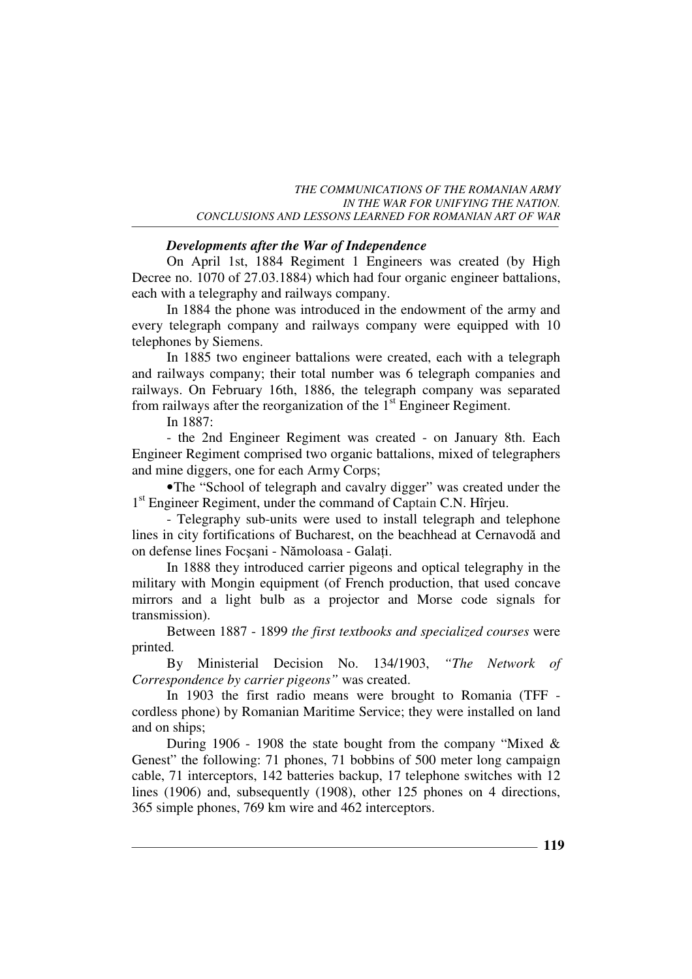## *Developments after the War of Independence*

On April 1st, 1884 Regiment 1 Engineers was created (by High Decree no. 1070 of 27.03.1884) which had four organic engineer battalions, each with a telegraphy and railways company.

In 1884 the phone was introduced in the endowment of the army and every telegraph company and railways company were equipped with 10 telephones by Siemens.

In 1885 two engineer battalions were created, each with a telegraph and railways company; their total number was 6 telegraph companies and railways. On February 16th, 1886, the telegraph company was separated from railways after the reorganization of the  $1<sup>st</sup>$  Engineer Regiment.

In 1887:

- the 2nd Engineer Regiment was created - on January 8th. Each Engineer Regiment comprised two organic battalions, mixed of telegraphers and mine diggers, one for each Army Corps;

•The "School of telegraph and cavalry digger" was created under the 1 st Engineer Regiment, under the command of Captain C.N. Hîrjeu.

- Telegraphy sub-units were used to install telegraph and telephone lines in city fortifications of Bucharest, on the beachhead at Cernavodă and on defense lines Focșani - Nămoloasa - Galați.

In 1888 they introduced carrier pigeons and optical telegraphy in the military with Mongin equipment (of French production, that used concave mirrors and a light bulb as a projector and Morse code signals for transmission).

Between 1887 - 1899 *the first textbooks and specialized courses* were printed*.*

By Ministerial Decision No. 134/1903, *"The Network of Correspondence by carrier pigeons"* was created.

In 1903 the first radio means were brought to Romania (TFF cordless phone) by Romanian Maritime Service; they were installed on land and on ships;

During 1906 - 1908 the state bought from the company "Mixed  $\&$ Genest" the following: 71 phones, 71 bobbins of 500 meter long campaign cable, 71 interceptors, 142 batteries backup, 17 telephone switches with 12 lines (1906) and, subsequently (1908), other 125 phones on 4 directions, 365 simple phones, 769 km wire and 462 interceptors.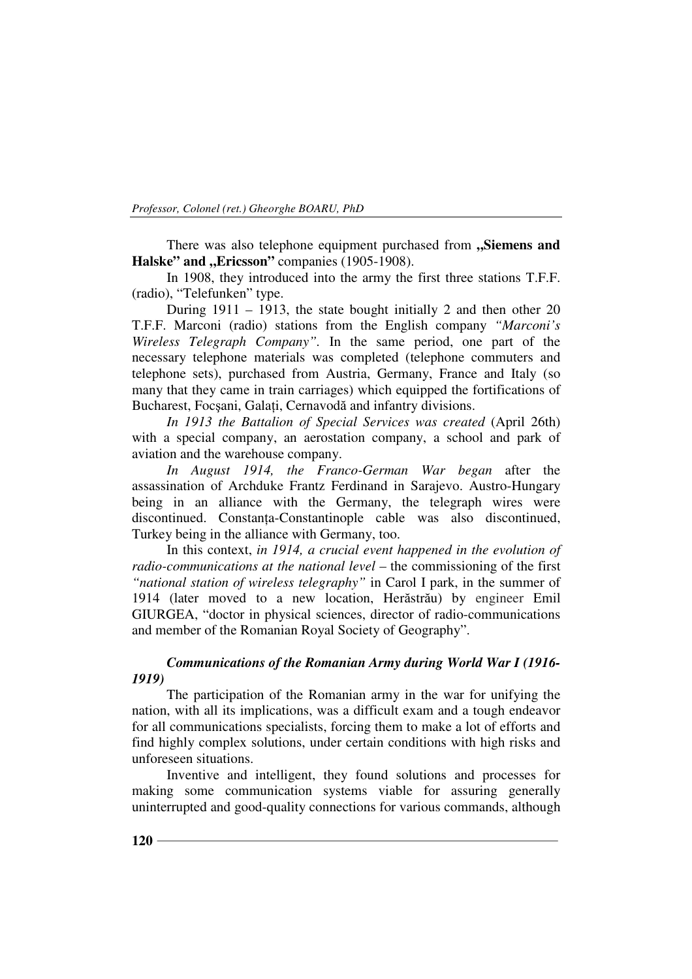There was also telephone equipment purchased from "Siemens and Halske" and "Ericsson" companies (1905-1908).

In 1908, they introduced into the army the first three stations T.F.F. (radio), "Telefunken" type.

During 1911 – 1913, the state bought initially 2 and then other 20 T.F.F. Marconi (radio) stations from the English company *"Marconi's Wireless Telegraph Company".* In the same period, one part of the necessary telephone materials was completed (telephone commuters and telephone sets), purchased from Austria, Germany, France and Italy (so many that they came in train carriages) which equipped the fortifications of Bucharest, Focșani, Galați, Cernavodă and infantry divisions.

*In 1913 the Battalion of Special Services was created* (April 26th) with a special company, an aerostation company, a school and park of aviation and the warehouse company.

*In August 1914, the Franco-German War began* after the assassination of Archduke Frantz Ferdinand in Sarajevo. Austro-Hungary being in an alliance with the Germany, the telegraph wires were discontinued. Constantia-Constantinople cable was also discontinued, Turkey being in the alliance with Germany, too.

In this context, *in 1914, a crucial event happened in the evolution of radio-communications at the national level* – the commissioning of the first *"national station of wireless telegraphy"* in Carol I park, in the summer of 1914 (later moved to a new location, Herăstrău) by engineer Emil GIURGEA, "doctor in physical sciences, director of radio-communications and member of the Romanian Royal Society of Geography".

## *Communications of the Romanian Army during World War I (1916- 1919)*

The participation of the Romanian army in the war for unifying the nation, with all its implications, was a difficult exam and a tough endeavor for all communications specialists, forcing them to make a lot of efforts and find highly complex solutions, under certain conditions with high risks and unforeseen situations.

Inventive and intelligent, they found solutions and processes for making some communication systems viable for assuring generally uninterrupted and good-quality connections for various commands, although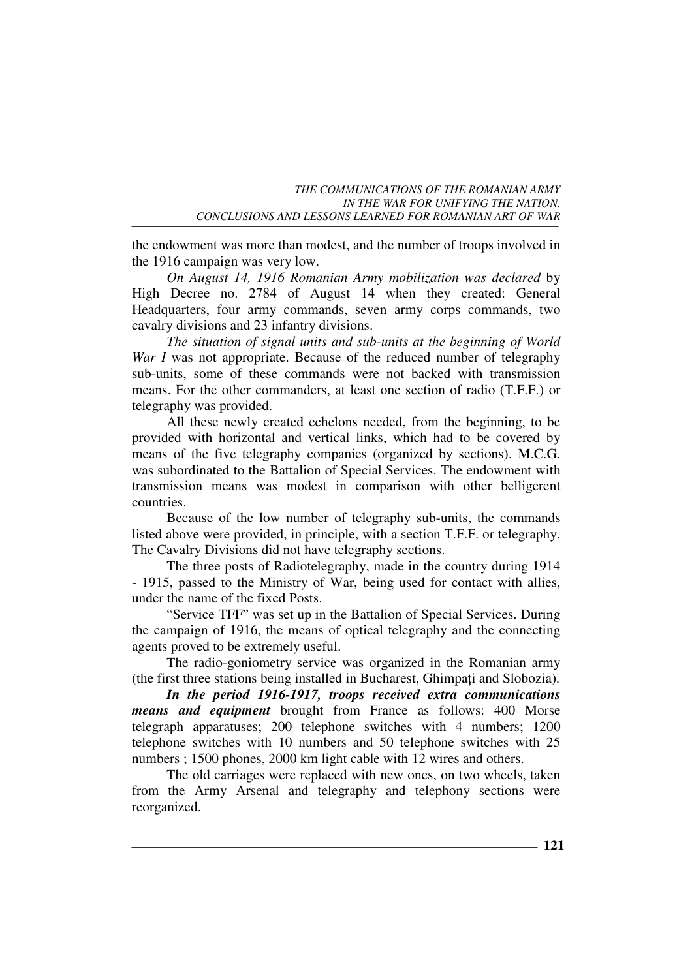the endowment was more than modest, and the number of troops involved in the 1916 campaign was very low.

*On August 14, 1916 Romanian Army mobilization was declared* by High Decree no. 2784 of August 14 when they created: General Headquarters, four army commands, seven army corps commands, two cavalry divisions and 23 infantry divisions.

*The situation of signal units and sub-units at the beginning of World War I* was not appropriate. Because of the reduced number of telegraphy sub-units, some of these commands were not backed with transmission means. For the other commanders, at least one section of radio (T.F.F.) or telegraphy was provided.

All these newly created echelons needed, from the beginning, to be provided with horizontal and vertical links, which had to be covered by means of the five telegraphy companies (organized by sections). M.C.G. was subordinated to the Battalion of Special Services. The endowment with transmission means was modest in comparison with other belligerent countries.

Because of the low number of telegraphy sub-units, the commands listed above were provided, in principle, with a section T.F.F. or telegraphy. The Cavalry Divisions did not have telegraphy sections.

The three posts of Radiotelegraphy, made in the country during 1914 - 1915, passed to the Ministry of War, being used for contact with allies, under the name of the fixed Posts.

"Service TFF" was set up in the Battalion of Special Services. During the campaign of 1916, the means of optical telegraphy and the connecting agents proved to be extremely useful.

The radio-goniometry service was organized in the Romanian army (the first three stations being installed in Bucharest, Ghimpati and Slobozia).

*In the period 1916-1917, troops received extra communications means and equipment* brought from France as follows: 400 Morse telegraph apparatuses; 200 telephone switches with 4 numbers; 1200 telephone switches with 10 numbers and 50 telephone switches with 25 numbers ; 1500 phones, 2000 km light cable with 12 wires and others.

The old carriages were replaced with new ones, on two wheels, taken from the Army Arsenal and telegraphy and telephony sections were reorganized.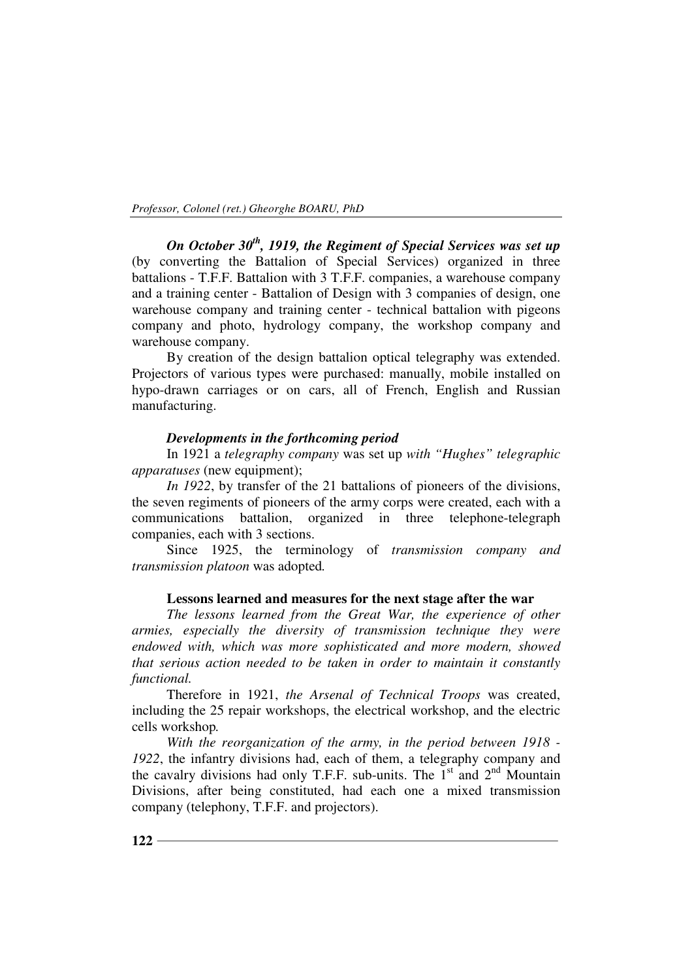*On October 30th, 1919, the Regiment of Special Services was set up* (by converting the Battalion of Special Services) organized in three battalions - T.F.F. Battalion with 3 T.F.F. companies, a warehouse company and a training center - Battalion of Design with 3 companies of design, one warehouse company and training center - technical battalion with pigeons company and photo, hydrology company, the workshop company and warehouse company.

By creation of the design battalion optical telegraphy was extended. Projectors of various types were purchased: manually, mobile installed on hypo-drawn carriages or on cars, all of French, English and Russian manufacturing.

## *Developments in the forthcoming period*

In 1921 a *telegraphy company* was set up *with "Hughes" telegraphic apparatuses* (new equipment);

*In 1922*, by transfer of the 21 battalions of pioneers of the divisions, the seven regiments of pioneers of the army corps were created, each with a communications battalion, organized in three telephone-telegraph companies, each with 3 sections.

Since 1925, the terminology of *transmission company and transmission platoon* was adopted*.* 

#### **Lessons learned and measures for the next stage after the war**

*The lessons learned from the Great War, the experience of other armies, especially the diversity of transmission technique they were endowed with, which was more sophisticated and more modern, showed that serious action needed to be taken in order to maintain it constantly functional.*

Therefore in 1921, *the Arsenal of Technical Troops* was created, including the 25 repair workshops, the electrical workshop, and the electric cells workshop*.*

*With the reorganization of the army, in the period between 1918 - 1922*, the infantry divisions had, each of them, a telegraphy company and the cavalry divisions had only T.F.F. sub-units. The  $1<sup>st</sup>$  and  $2<sup>nd</sup>$  Mountain Divisions, after being constituted, had each one a mixed transmission company (telephony, T.F.F. and projectors).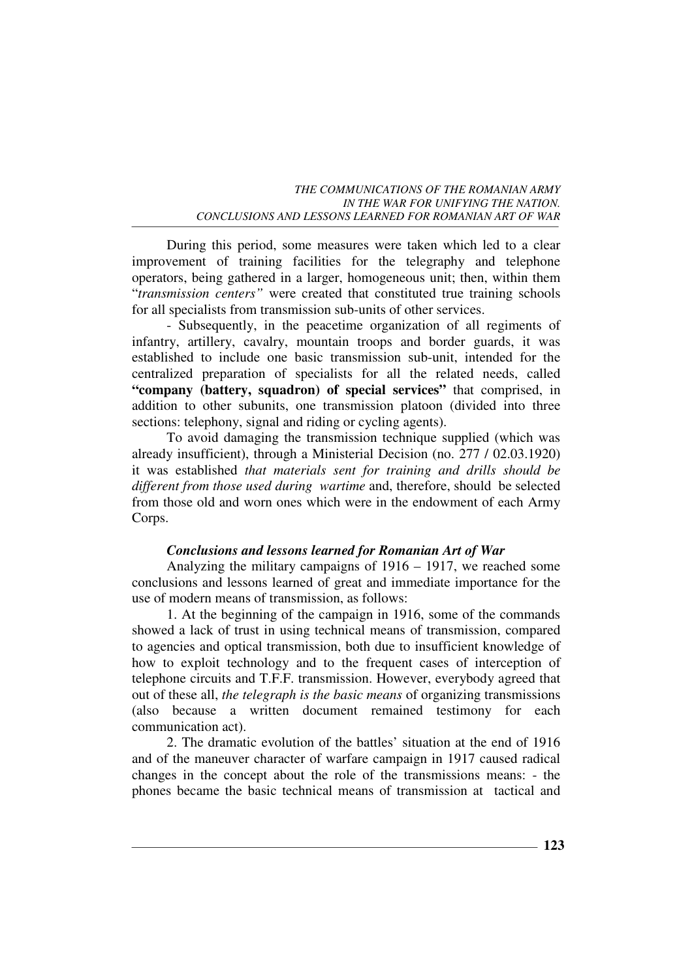During this period, some measures were taken which led to a clear improvement of training facilities for the telegraphy and telephone operators, being gathered in a larger, homogeneous unit; then, within them "*transmission centers"* were created that constituted true training schools for all specialists from transmission sub-units of other services.

- Subsequently, in the peacetime organization of all regiments of infantry, artillery, cavalry, mountain troops and border guards, it was established to include one basic transmission sub-unit, intended for the centralized preparation of specialists for all the related needs, called **"company (battery, squadron) of special services"** that comprised, in addition to other subunits, one transmission platoon (divided into three sections: telephony, signal and riding or cycling agents).

To avoid damaging the transmission technique supplied (which was already insufficient), through a Ministerial Decision (no. 277 / 02.03.1920) it was established *that materials sent for training and drills should be different from those used during wartime* and, therefore, should be selected from those old and worn ones which were in the endowment of each Army Corps.

## *Conclusions and lessons learned for Romanian Art of War*

Analyzing the military campaigns of 1916 – 1917, we reached some conclusions and lessons learned of great and immediate importance for the use of modern means of transmission, as follows:

1. At the beginning of the campaign in 1916, some of the commands showed a lack of trust in using technical means of transmission, compared to agencies and optical transmission, both due to insufficient knowledge of how to exploit technology and to the frequent cases of interception of telephone circuits and T.F.F. transmission. However, everybody agreed that out of these all, *the telegraph is the basic means* of organizing transmissions (also because a written document remained testimony for each communication act).

2. The dramatic evolution of the battles' situation at the end of 1916 and of the maneuver character of warfare campaign in 1917 caused radical changes in the concept about the role of the transmissions means: - the phones became the basic technical means of transmission at tactical and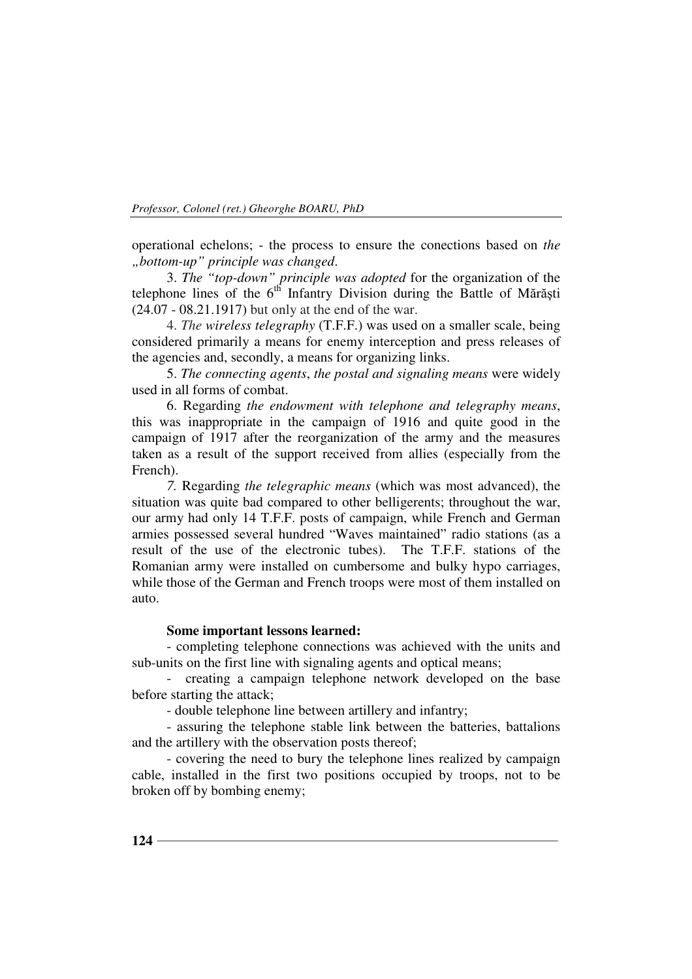operational echelons; - the process to ensure the conections based on *the "bottom-up" principle was changed*.

3. *The "top-down" principle was adopted* for the organization of the telephone lines of the  $6<sup>th</sup>$  Infantry Division during the Battle of Mărăști (24.07 - 08.21.1917) but only at the end of the war.

4. *The wireless telegraphy* (T.F.F.) was used on a smaller scale, being considered primarily a means for enemy interception and press releases of the agencies and, secondly, a means for organizing links.

5. *The connecting agents*, *the postal and signaling means* were widely used in all forms of combat.

6. Regarding *the endowment with telephone and telegraphy means*, this was inappropriate in the campaign of 1916 and quite good in the campaign of 1917 after the reorganization of the army and the measures taken as a result of the support received from allies (especially from the French).

*7.* Regarding *the telegraphic means* (which was most advanced), the situation was quite bad compared to other belligerents; throughout the war, our army had only 14 T.F.F. posts of campaign, while French and German armies possessed several hundred "Waves maintained" radio stations (as a result of the use of the electronic tubes). The T.F.F. stations of the Romanian army were installed on cumbersome and bulky hypo carriages, while those of the German and French troops were most of them installed on auto.

## **Some important lessons learned:**

- completing telephone connections was achieved with the units and sub-units on the first line with signaling agents and optical means;

- creating a campaign telephone network developed on the base before starting the attack;

- double telephone line between artillery and infantry;

- assuring the telephone stable link between the batteries, battalions and the artillery with the observation posts thereof;

- covering the need to bury the telephone lines realized by campaign cable, installed in the first two positions occupied by troops, not to be broken off by bombing enemy;